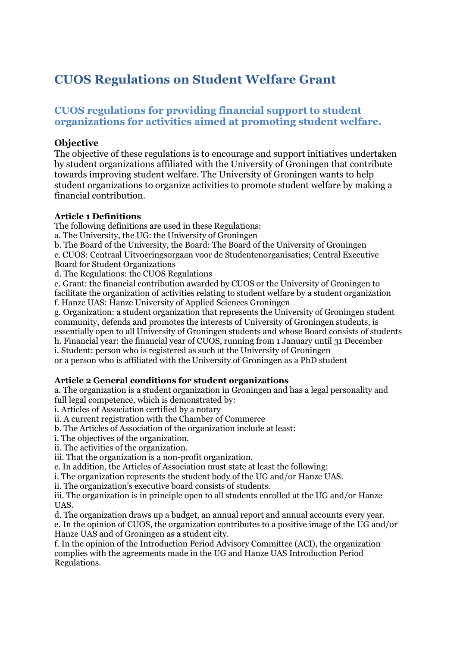# **CUOS Regulations on Student Welfare Grant**

# **CUOS regulations for providing financial support to student organizations for activities aimed at promoting student welfare.**

# **Objective**

The objective of these regulations is to encourage and support initiatives undertaken by student organizations affiliated with the University of Groningen that contribute towards improving student welfare. The University of Groningen wants to help student organizations to organize activities to promote student welfare by making a financial contribution.

### **Article 1 Definitions**

The following definitions are used in these Regulations:

a. The University, the UG: the University of Groningen

b. The Board of the University, the Board: The Board of the University of Groningen

c. CUOS: Centraal Uitvoeringsorgaan voor de Studentenorganisaties; Central Executive Board for Student Organizations

d. The Regulations: the CUOS Regulations

e. Grant: the financial contribution awarded by CUOS or the University of Groningen to facilitate the organization of activities relating to student welfare by a student organization f. Hanze UAS: Hanze University of Applied Sciences Groningen

g. Organization: a student organization that represents the University of Groningen student community, defends and promotes the interests of University of Groningen students, is essentially open to all University of Groningen students and whose Board consists of students h. Financial year: the financial year of CUOS, running from 1 January until 31 December

i. Student: person who is registered as such at the University of Groningen

or a person who is affiliated with the University of Groningen as a PhD student

### **Article 2 General conditions for student organizations**

a. The organization is a student organization in Groningen and has a legal personality and full legal competence, which is demonstrated by:

i. Articles of Association certified by a notary

ii. A current registration with the Chamber of Commerce

b. The Articles of Association of the organization include at least:

i. The objectives of the organization.

ii. The activities of the organization.

iii. That the organization is a non-profit organization.

c. In addition, the Articles of Association must state at least the following:

i. The organization represents the student body of the UG and/or Hanze UAS.

ii. The organization's executive board consists of students.

iii. The organization is in principle open to all students enrolled at the UG and/or Hanze UAS.

d. The organization draws up a budget, an annual report and annual accounts every year.

e. In the opinion of CUOS, the organization contributes to a positive image of the UG and/or Hanze UAS and of Groningen as a student city.

f. In the opinion of the Introduction Period Advisory Committee (ACI), the organization complies with the agreements made in the UG and Hanze UAS Introduction Period Regulations.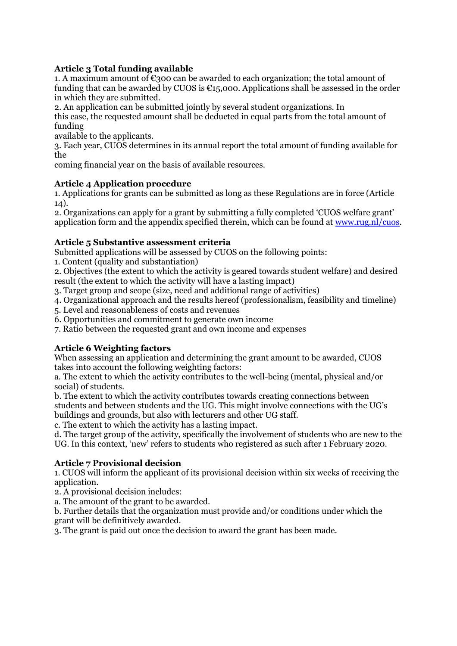# **Article 3 Total funding available**

1. A maximum amount of  $\epsilon$ 300 can be awarded to each organization; the total amount of funding that can be awarded by CUOS is  $\epsilon_{15,000}$ . Applications shall be assessed in the order in which they are submitted.

2. An application can be submitted jointly by several student organizations. In this case, the requested amount shall be deducted in equal parts from the total amount of funding

available to the applicants.

3. Each year, CUOS determines in its annual report the total amount of funding available for the

coming financial year on the basis of available resources.

### **Article 4 Application procedure**

1. Applications for grants can be submitted as long as these Regulations are in force (Article 14).

2. Organizations can apply for a grant by submitting a fully completed 'CUOS welfare grant' application form and the appendix specified therein, which can be found at [www.rug.nl/cuos.](http://www.rug.nl/cuos)

#### **Article 5 Substantive assessment criteria**

Submitted applications will be assessed by CUOS on the following points:

1. Content (quality and substantiation)

2. Objectives (the extent to which the activity is geared towards student welfare) and desired result (the extent to which the activity will have a lasting impact)

3. Target group and scope (size, need and additional range of activities)

4. Organizational approach and the results hereof (professionalism, feasibility and timeline)

5. Level and reasonableness of costs and revenues

6. Opportunities and commitment to generate own income

7. Ratio between the requested grant and own income and expenses

### **Article 6 Weighting factors**

When assessing an application and determining the grant amount to be awarded, CUOS takes into account the following weighting factors:

a. The extent to which the activity contributes to the well-being (mental, physical and/or social) of students.

b. The extent to which the activity contributes towards creating connections between students and between students and the UG. This might involve connections with the UG's buildings and grounds, but also with lecturers and other UG staff.

c. The extent to which the activity has a lasting impact.

d. The target group of the activity, specifically the involvement of students who are new to the UG. In this context, 'new' refers to students who registered as such after 1 February 2020.

### **Article 7 Provisional decision**

1. CUOS will inform the applicant of its provisional decision within six weeks of receiving the application.

2. A provisional decision includes:

a. The amount of the grant to be awarded.

b. Further details that the organization must provide and/or conditions under which the grant will be definitively awarded.

3. The grant is paid out once the decision to award the grant has been made.